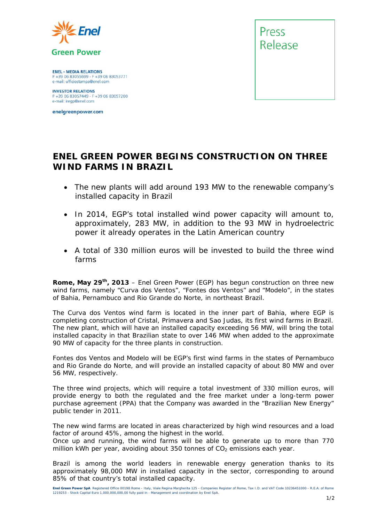

**ENEL - MEDIA RELATIONS** P +39 06 83055699 - F +39 06 83053771 e-mail: ufficiostampa@enel.com

**INVESTOR RELATIONS**<br>P +39 06 83057449 - F +39 06 83057200 e-mail: iregp@enel.com

enelgreenpower.com



## **ENEL GREEN POWER BEGINS CONSTRUCTION ON THREE WIND FARMS IN BRAZIL**

- *The new plants will add around 193 MW to the renewable company's installed capacity in Brazil*
- *In 2014, EGP's total installed wind power capacity will amount to, approximately, 283 MW, in addition to the 93 MW in hydroelectric power it already operates in the Latin American country*
- *A total of 330 million euros will be invested to build the three wind farms*

**Rome, May 29th, 2013** – Enel Green Power (EGP) has begun construction on three new wind farms, namely "Curva dos Ventos", "Fontes dos Ventos" and "Modelo", in the states of Bahia, Pernambuco and Rio Grande do Norte, in northeast Brazil.

The Curva dos Ventos wind farm is located in the inner part of Bahia, where EGP is completing construction of Cristal, Primavera and Sao Judas, its first wind farms in Brazil. The new plant, which will have an installed capacity exceeding 56 MW, will bring the total installed capacity in that Brazilian state to over 146 MW when added to the approximate 90 MW of capacity for the three plants in construction.

Fontes dos Ventos and Modelo will be EGP's first wind farms in the states of Pernambuco and Rio Grande do Norte, and will provide an installed capacity of about 80 MW and over 56 MW, respectively.

The three wind projects, which will require a total investment of 330 million euros, will provide energy to both the regulated and the free market under a long-term power purchase agreement (PPA) that the Company was awarded in the "Brazilian New Energy" public tender in 2011.

The new wind farms are located in areas characterized by high wind resources and a load factor of around 45%, among the highest in the world.

Once up and running, the wind farms will be able to generate up to more than 770 million kWh per year, avoiding about 350 tonnes of  $CO<sub>2</sub>$  emissions each year.

Brazil is among the world leaders in renewable energy generation thanks to its approximately 98,000 MW in installed capacity in the sector, corresponding to around 85% of that country's total installed capacity.